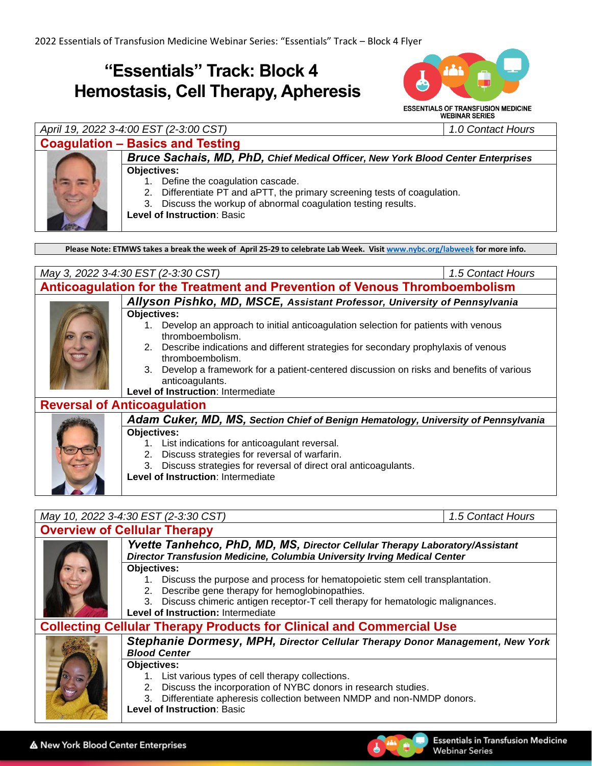## **"Essentials" Track: Block 4 Hemostasis, Cell Therapy, Apheresis**



### *April 19, 2022 3-4:00 EST (2-3:00 CST) 1.0 Contact Hours*

### **Coagulation – Basics and Testing**

*Bruce Sachais, MD, PhD, Chief Medical Officer, New York Blood Center Enterprises* **Objectives:**

- 1. Define the coagulation cascade.
- 2. Differentiate PT and aPTT, the primary screening tests of coagulation.
- 3. Discuss the workup of abnormal coagulation testing results.

**Level of Instruction**: Basic

**Please Note: ETMWS takes a break the week of April 25-29 to celebrate Lab Week. Visit [www.nybc.org/labweek](http://www.nybc.org/labweek) for more info.**

| May 3, 2022 3-4:30 EST (2-3:30 CST)                                        |                                                                                                           | 1.5 Contact Hours |  |  |
|----------------------------------------------------------------------------|-----------------------------------------------------------------------------------------------------------|-------------------|--|--|
| Anticoagulation for the Treatment and Prevention of Venous Thromboembolism |                                                                                                           |                   |  |  |
|                                                                            | Allyson Pishko, MD, MSCE, Assistant Professor, University of Pennsylvania                                 |                   |  |  |
|                                                                            | <b>Objectives:</b>                                                                                        |                   |  |  |
|                                                                            | Develop an approach to initial anticoagulation selection for patients with venous<br>thromboembolism.     |                   |  |  |
|                                                                            | 2. Describe indications and different strategies for secondary prophylaxis of venous<br>thromboembolism.  |                   |  |  |
|                                                                            | Develop a framework for a patient-centered discussion on risks and benefits of various<br>anticoagulants. |                   |  |  |
|                                                                            | Level of Instruction: Intermediate                                                                        |                   |  |  |
| <b>Reversal of Anticoagulation</b>                                         |                                                                                                           |                   |  |  |
|                                                                            | Adam Cuker, MD, MS, Section Chief of Benign Hematology, University of Pennsylvania                        |                   |  |  |
|                                                                            | Objectives:                                                                                               |                   |  |  |
|                                                                            | 1. List indications for anticoagulant reversal.                                                           |                   |  |  |
|                                                                            | Discuss strategies for reversal of warfarin.<br>2.                                                        |                   |  |  |
|                                                                            | Discuss strategies for reversal of direct oral anticoagulants.<br>3.                                      |                   |  |  |
|                                                                            | Level of Instruction: Intermediate                                                                        |                   |  |  |

#### *May 10, 2022 3-4:30 EST (2-3:30 CST) 1.5 Contact Hours*

#### **Overview of Cellular Therapy** *Yvette Tanhehco, PhD, MD, MS, Director Cellular Therapy Laboratory/Assistant Director Transfusion Medicine, Columbia University Irving Medical Center* **Objectives:** 1. Discuss the purpose and process for hematopoietic stem cell transplantation. 2. Describe gene therapy for hemoglobinopathies. 3. Discuss chimeric antigen receptor-T cell therapy for hematologic malignances. **Level of Instruction:** Intermediate

#### **Collecting Cellular Therapy Products for Clinical and Commercial Use**



*Stephanie Dormesy, MPH, Director Cellular Therapy Donor Management, New York Blood Center* 

#### **Objectives:**

- 1. List various types of cell therapy collections.
- 2. Discuss the incorporation of NYBC donors in research studies.
- 3. Differentiate apheresis collection between NMDP and non-NMDP donors.
- **Level of Instruction**: Basic